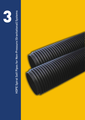

# HDPE Spiral Self Pipes for Non-Pressure (Gravitational) Systems HDPE Spiral Self Pipes for Non-Pressure (Gravitational) Systems

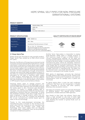# HDPE SPIRAL SELF PIPES FOR NON-PRESSURE (GRAVITATIONAL) SYSTEMS

### PRODUCT IDENTITY

| <b>Product Name</b>        | DİZAYN SPIRAL PIPE      |
|----------------------------|-------------------------|
| <b>Raw Material</b>        | <b>HDPE 100</b>         |
| <b>Product Color</b>       | Black                   |
| <b>Production Standard</b> | TS 12132, TS EN 13476-3 |

### PRODUCT SPECIFICATIONS QUALITY CERTIFICATES OF DİZAYN GROUP

| <b>Production Range</b> | Ø500 - Ø3600 mm                                                                                                                                                                 |        |        |
|-------------------------|---------------------------------------------------------------------------------------------------------------------------------------------------------------------------------|--------|--------|
| <b>Ring Stifness</b>    | SR2 - SR64                                                                                                                                                                      |        |        |
| <b>Pressure Class</b>   | Gravitational Flow (test pressure: 0,5 bar)                                                                                                                                     |        |        |
| Pipe Length             | $5.8 - 6 - 11.8 - 12 - 13.5$ meters<br>(Customized lengths can also be produced by<br>Mobile (on-site) Manufacturing method.<br>Please contact with us for customized lenghts.) | Turkev | Russia |

### 3.1 Dizayn Spiral Pipe

Dizayn Group has launched its new versatile product, Dizayn Spiral Pipe, yielded by its R&D efforts kicked off 7 years.

Recently, the Ministry of Energy has proclaimed myriad of projects aimed at extending the hydroelectric energy nationwide. In hydroelectric power plants, water supply lines stand among the vital components of the system. Correct water supply is the crucial factor that is directly decision on the plant's capacity. Pushing and exceeding the limits of fluid engineering through extraordinary methods and launching highly prestigious projects in this field, our company has developed an unparalleled alternative for the sake of seamless water supply in HPP projects. Particularly the solutions against common problems to be offered by our new product that may employed in transffering water to the turbine in HPP projects may be summarized as follows:

Choosing plastic pipes to sewage projects will undoubtely present lots of crucial advantages such as securing 100% water tightness and ultimately bringing the losses down to zero. Excessive pipe diameters reaching 2-3 meters in sewage projects add to transport costs and naturally inflate the overall project expenditure, therefore they are unfavorable. To avoid the exorbitant transport costs due to huge volume of pipes employed in sewage projects where only one pipe can fit in the truck, our company has developed the on-site manufacturing method based upon its state-of-the-art technology.

Thanks to this newly-developed technology, the manufaturing yard is erected on the territory of the power plant and the resulting on-site manufacturing process clears the transport costs. Under this technology, when water supply lines are designed with plastic pipes, competitive costs can be produced compared to traditional systems.

Another factor that makes is impossible to employ large-diameter HDPE pipes in sewage projects is that maximum length of pipe is limited meters in current manufacturing methods. As the pipes are manufactured by widing on the drum, the pipe length is limited to the drum length. In existing systems, as the manufacturing plant cannot be relocated, maximum manufacturing length is merely limited to the maximum truck length due to transport restrictions. The new technology developed by Dizayn Group eliminates such a length restriction in manufacturing. The pipes can be manufactured in any length desired. Hence, also a reduction is achieved in the number of joints.

With plenty of advantages, primarily the chemical strength, plastics offer a long service life. Thanks to the Spiral Pipes manufactured of polythene raw material, maintennance costs for sewage lines in plants are minimized.

As Spiral piping offers a quite low wall roughness coefficient, that fluid can be transported in smaller pipes compared to concrete and other systems, allowing a less excavation volume.

The pipes are joined by means of a specially developed EF welding system. This special joining method guarantees a reliable weld and 100% tightness.

Also thanks to their high ring stifness, Spiral pipe offers a high strength to any kind of aerth load under the ground or in areas receiving musch traffic load, allowing the transfer of gravity fluids such as wastewaters.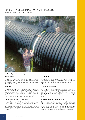# HDPE SPIRAL SELF PIPES FOR NON-PRESSURE (GRAVITATIONAL) SYSTEMS



### 3.2 Dizayn Spiral Pipe Advantages

### Leak Tightness

Dizayn Spiral Pipe is designed as a flexible structure to minimise the effects of ground movement and deformation and prevent leakage from the pipeline or attunation structure.

### Flexibility

Dizayn is unique in its ability to produce large diameter pipe and attenuation solutions to match your exact requrements and site conditions. The flexibility of our manufacturing process enables you to specify exact stifness requirements and utilise a value engineered solution that is neither under nor over specified.

### Unique, patented electro-fusion joint

Dizayn offers the only large diameter plastic pipe solution with integral electro-fusion joingting. Electrofusion wire is connected to the socket end of the pipe during manufacture and supplied with a unique barcode containing the settings and installation parameters for the pipe.

### Fast Jointing

In comparison with other large diameter systems, Dizayn Spiral Pipe can be handled, jointed and installed much quicker, resulting in time and cost savings onsite.

### Less joints, less leakage

Dizayn Spiral Pipe is available in standard lengths of 6 meters even according to customer request. With less joints, Dizayn Spiral Pipe significantly reduces the potential for leakage. Dizayn Spiral Pipe offers flexibility in specifying a joint that is appropriate for the project.

### Safety and healt for human benefits

Electro-fusion jointing offers improved health and safety benefits over traditional jointing methods reducing the need to work within confined spaces. On-site, Dizayn Spiral Pipes can also be jointed at the side of the trench before being craned into position, reducing health and safety risks during installation.